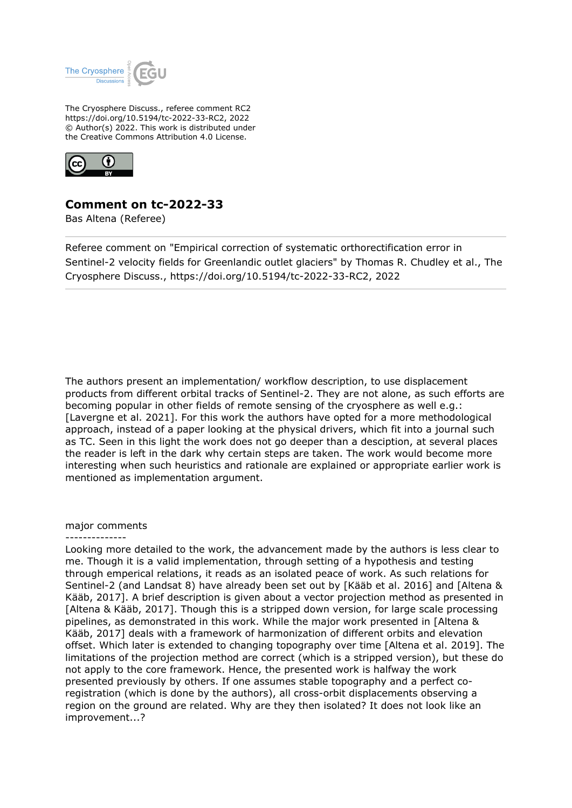

The Cryosphere Discuss., referee comment RC2 https://doi.org/10.5194/tc-2022-33-RC2, 2022 © Author(s) 2022. This work is distributed under the Creative Commons Attribution 4.0 License.



## **Comment on tc-2022-33**

Bas Altena (Referee)

Referee comment on "Empirical correction of systematic orthorectification error in Sentinel-2 velocity fields for Greenlandic outlet glaciers" by Thomas R. Chudley et al., The Cryosphere Discuss., https://doi.org/10.5194/tc-2022-33-RC2, 2022

The authors present an implementation/ workflow description, to use displacement products from different orbital tracks of Sentinel-2. They are not alone, as such efforts are becoming popular in other fields of remote sensing of the cryosphere as well e.g.: [Lavergne et al. 2021]. For this work the authors have opted for a more methodological approach, instead of a paper looking at the physical drivers, which fit into a journal such as TC. Seen in this light the work does not go deeper than a desciption, at several places the reader is left in the dark why certain steps are taken. The work would become more interesting when such heuristics and rationale are explained or appropriate earlier work is mentioned as implementation argument.

## major comments --------------

Looking more detailed to the work, the advancement made by the authors is less clear to me. Though it is a valid implementation, through setting of a hypothesis and testing through emperical relations, it reads as an isolated peace of work. As such relations for Sentinel-2 (and Landsat 8) have already been set out by [Kääb et al. 2016] and [Altena & Kääb, 2017]. A brief description is given about a vector projection method as presented in [Altena & Kääb, 2017]. Though this is a stripped down version, for large scale processing pipelines, as demonstrated in this work. While the major work presented in [Altena & Kääb, 2017] deals with a framework of harmonization of different orbits and elevation offset. Which later is extended to changing topography over time [Altena et al. 2019]. The limitations of the projection method are correct (which is a stripped version), but these do not apply to the core framework. Hence, the presented work is halfway the work presented previously by others. If one assumes stable topography and a perfect coregistration (which is done by the authors), all cross-orbit displacements observing a region on the ground are related. Why are they then isolated? It does not look like an improvement...?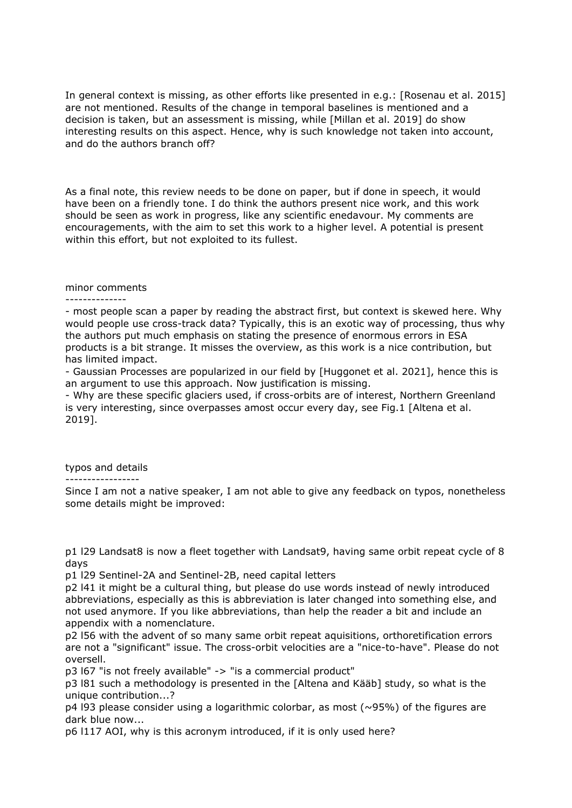In general context is missing, as other efforts like presented in e.g.: [Rosenau et al. 2015] are not mentioned. Results of the change in temporal baselines is mentioned and a decision is taken, but an assessment is missing, while [Millan et al. 2019] do show interesting results on this aspect. Hence, why is such knowledge not taken into account, and do the authors branch off?

As a final note, this review needs to be done on paper, but if done in speech, it would have been on a friendly tone. I do think the authors present nice work, and this work should be seen as work in progress, like any scientific enedavour. My comments are encouragements, with the aim to set this work to a higher level. A potential is present within this effort, but not exploited to its fullest.

## minor comments

--------------

- most people scan a paper by reading the abstract first, but context is skewed here. Why would people use cross-track data? Typically, this is an exotic way of processing, thus why the authors put much emphasis on stating the presence of enormous errors in ESA products is a bit strange. It misses the overview, as this work is a nice contribution, but has limited impact.

- Gaussian Processes are popularized in our field by [Huggonet et al. 2021], hence this is an argument to use this approach. Now justification is missing.

- Why are these specific glaciers used, if cross-orbits are of interest, Northern Greenland is very interesting, since overpasses amost occur every day, see Fig.1 [Altena et al. 2019].

typos and details

-----------------

Since I am not a native speaker, I am not able to give any feedback on typos, nonetheless some details might be improved:

p1 l29 Landsat8 is now a fleet together with Landsat9, having same orbit repeat cycle of 8 days

p1 l29 Sentinel-2A and Sentinel-2B, need capital letters

p2 l41 it might be a cultural thing, but please do use words instead of newly introduced abbreviations, especially as this is abbreviation is later changed into something else, and not used anymore. If you like abbreviations, than help the reader a bit and include an appendix with a nomenclature.

p2 l56 with the advent of so many same orbit repeat aquisitions, orthoretification errors are not a "significant" issue. The cross-orbit velocities are a "nice-to-have". Please do not oversell.

p3 l67 "is not freely available" -> "is a commercial product"

p3 l81 such a methodology is presented in the [Altena and Kääb] study, so what is the unique contribution...?

 $p4$  l93 please consider using a logarithmic colorbar, as most ( $\sim$ 95%) of the figures are dark blue now...

p6 l117 AOI, why is this acronym introduced, if it is only used here?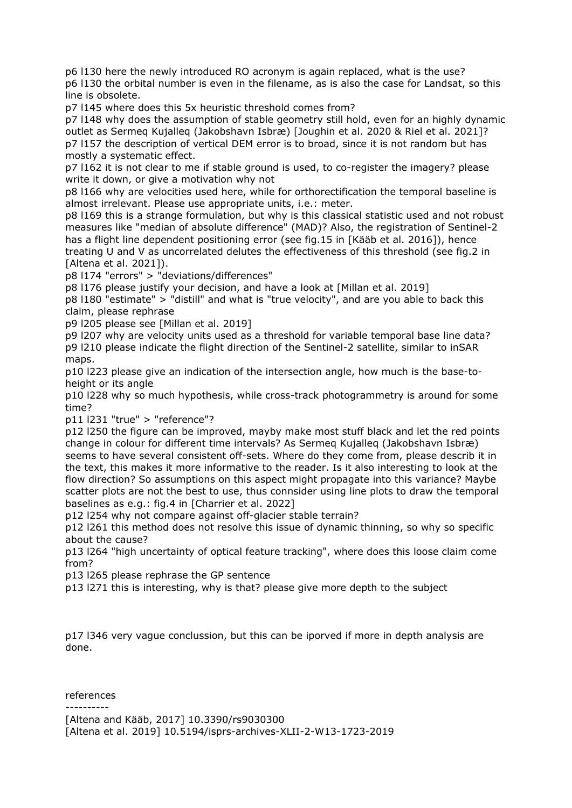p6 l130 here the newly introduced RO acronym is again replaced, what is the use? p6 l130 the orbital number is even in the filename, as is also the case for Landsat, so this line is obsolete.

p7 l145 where does this 5x heuristic threshold comes from?

p7 l148 why does the assumption of stable geometry still hold, even for an highly dynamic outlet as Sermeq Kujalleq (Jakobshavn Isbræ) [Joughin et al. 2020 & Riel et al. 2021]? p7 l157 the description of vertical DEM error is to broad, since it is not random but has mostly a systematic effect.

p7 l162 it is not clear to me if stable ground is used, to co-register the imagery? please write it down, or give a motivation why not

p8 l166 why are velocities used here, while for orthorectification the temporal baseline is almost irrelevant. Please use appropriate units, i.e.: meter.

p8 l169 this is a strange formulation, but why is this classical statistic used and not robust measures like "median of absolute difference" (MAD)? Also, the registration of Sentinel-2 has a flight line dependent positioning error (see fig.15 in [Kääb et al. 2016]), hence treating U and V as uncorrelated delutes the effectiveness of this threshold (see fig.2 in [Altena et al. 2021]).

p8 l174 "errors" > "deviations/differences"

p8 l176 please justify your decision, and have a look at [Millan et al. 2019]

p8 l180 "estimate" > "distill" and what is "true velocity", and are you able to back this claim, please rephrase

p9 l205 please see [Millan et al. 2019]

p9 l207 why are velocity units used as a threshold for variable temporal base line data? p9 l210 please indicate the flight direction of the Sentinel-2 satellite, similar to inSAR maps.

p10 l223 please give an indication of the intersection angle, how much is the base-toheight or its angle

p10 l228 why so much hypothesis, while cross-track photogrammetry is around for some time?

p11 l231 "true" > "reference"?

p12 l250 the figure can be improved, mayby make most stuff black and let the red points change in colour for different time intervals? As Sermeq Kujalleq (Jakobshavn Isbræ) seems to have several consistent off-sets. Where do they come from, please describ it in the text, this makes it more informative to the reader. Is it also interesting to look at the flow direction? So assumptions on this aspect might propagate into this variance? Maybe scatter plots are not the best to use, thus connsider using line plots to draw the temporal baselines as e.g.: fig.4 in [Charrier et al. 2022]

p12 l254 why not compare against off-glacier stable terrain?

p12 l261 this method does not resolve this issue of dynamic thinning, so why so specific about the cause?

p13 l264 "high uncertainty of optical feature tracking", where does this loose claim come from?

p13 l265 please rephrase the GP sentence

p13 l271 this is interesting, why is that? please give more depth to the subject

p17 l346 very vague conclussion, but this can be iporved if more in depth analysis are done.

references

----------

[Altena and Kääb, 2017] 10.3390/rs9030300 [Altena et al. 2019] 10.5194/isprs-archives-XLII-2-W13-1723-2019